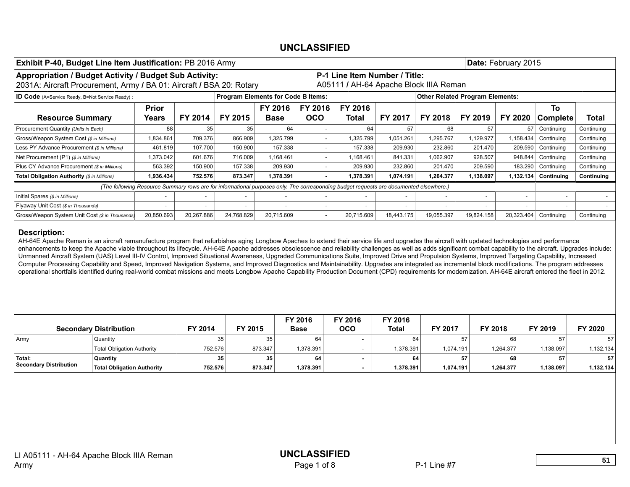| Exhibit P-40, Budget Line Item Justification: PB 2016 Army                                                                     |                          |            |                                                                                                                                        |                        |                          |                                                                         |            |                |                                        | Date: February 2015 |                |            |
|--------------------------------------------------------------------------------------------------------------------------------|--------------------------|------------|----------------------------------------------------------------------------------------------------------------------------------------|------------------------|--------------------------|-------------------------------------------------------------------------|------------|----------------|----------------------------------------|---------------------|----------------|------------|
| Appropriation / Budget Activity / Budget Sub Activity:<br>2031A: Aircraft Procurement, Army / BA 01: Aircraft / BSA 20: Rotary |                          |            |                                                                                                                                        |                        |                          | P-1 Line Item Number / Title:<br>A05111 / AH-64 Apache Block IIIA Reman |            |                |                                        |                     |                |            |
| <b>ID Code</b> (A=Service Ready, B=Not Service Ready) :                                                                        |                          |            | <b>Program Elements for Code B Items:</b>                                                                                              |                        |                          |                                                                         |            |                | <b>Other Related Program Elements:</b> |                     |                |            |
| <b>Resource Summary</b>                                                                                                        | <b>Prior</b><br>Years    | FY 2014    | FY 2015                                                                                                                                | FY 2016<br><b>Base</b> | FY 2016<br><b>OCO</b>    | FY 2016<br>Total                                                        | FY 2017    | <b>FY 2018</b> | FY 2019                                | FY 2020             | To<br>Complete | Total      |
| Procurement Quantity (Units in Each)                                                                                           | 88                       | 35         | 35                                                                                                                                     | 64                     |                          | 64                                                                      | 57         | 68             | 57                                     | 57                  | Continuing     | Continuing |
| Gross/Weapon System Cost (\$ in Millions)                                                                                      | 1,834.861                | 709.376    | 866.909                                                                                                                                | 1,325.799              | $\overline{\phantom{a}}$ | 1,325.799                                                               | 1,051.261  | 1,295.767      | 1,129.977                              | 1,158.434           | Continuing     | Continuing |
| Less PY Advance Procurement (\$ in Millions)                                                                                   | 461.819                  | 107.700    | 150,900                                                                                                                                | 157.338                | $\overline{\phantom{a}}$ | 157.338                                                                 | 209.930    | 232.860        | 201.470                                | 209.590             | Continuing     | Continuing |
| Net Procurement (P1) (\$ in Millions)                                                                                          | 1,373.042                | 601.676    | 716.009                                                                                                                                | 1,168.461              |                          | 1,168.461                                                               | 841.331    | 1,062.907      | 928.507                                | 948.844             | Continuing     | Continuing |
| Plus CY Advance Procurement (\$ in Millions)                                                                                   | 563.392                  | 150.900    | 157.338                                                                                                                                | 209.930                | $\overline{\phantom{a}}$ | 209.930                                                                 | 232.860    | 201.470        | 209.590                                | 183.290             | Continuing     | Continuing |
| Total Obligation Authority (\$ in Millions)                                                                                    | 1,936.434                | 752.576    | 873.347                                                                                                                                | 1,378.391              | $\blacksquare$           | 1,378.391                                                               | 1,074.191  | 1,264.377      | 1,138.097                              | 1,132.134           | Continuing     | Continuing |
|                                                                                                                                |                          |            | (The following Resource Summary rows are for informational purposes only. The corresponding budget requests are documented elsewhere.) |                        |                          |                                                                         |            |                |                                        |                     |                |            |
| Initial Spares (\$ in Millions)                                                                                                | $\sim$                   |            |                                                                                                                                        |                        |                          |                                                                         |            |                |                                        |                     |                |            |
| Flyaway Unit Cost (\$ in Thousands)                                                                                            | $\overline{\phantom{a}}$ |            |                                                                                                                                        |                        |                          |                                                                         | ٠          |                |                                        | ۰                   |                |            |
| Gross/Weapon System Unit Cost (\$ in Thousands)                                                                                | 20,850.693               | 20,267.886 | 24,768.829                                                                                                                             | 20,715.609             |                          | 20,715.609                                                              | 18,443.175 | 19,055.397     | 19,824.158                             | 20,323.404          | Continuing     | Continuing |

#### Description:

AH-64E Apache Reman is an aircraft remanufacture program that refurbishes aging Longbow Apaches to extend their service life and upgrades the aircraft with updated technologies and performance enhancements to keep the Apache viable throughout its lifecycle. AH-64E Apache addresses obsolescence and reliability challenges as well as adds significant combat capability to the aircraft. Upgrades include: Unmanned Aircraft System (UAS) Level III-IV Control, Improved Situational Awareness, Upgraded Communications Suite, Improved Drive and Propulsion Systems, Improved Targeting Capability, Increased Computer Processing Capability and Speed, Improved Navigation Systems, and Improved Diagnostics and Maintainability. Upgrades are integrated as incremental block modifications. The program addresses operational shortfalls identified during real-world combat missions and meets Longbow Apache Capability Production Document (CPD) requirements for modernization. AH-64E aircraft entered the fleet in 2012.

|                        |                                   |         |         | FY 2016     | FY 2016    | FY 2016   |           |           |           |           |
|------------------------|-----------------------------------|---------|---------|-------------|------------|-----------|-----------|-----------|-----------|-----------|
|                        | <b>Secondary Distribution</b>     | FY 2014 | FY 2015 | <b>Base</b> | <b>OCO</b> | Total     | FY 2017   | FY 2018   | FY 2019   | FY 2020   |
| Army                   | Quantity                          | 35      |         | 64          |            | 64        | 57        | 68        |           | 57        |
|                        | <b>Total Obligation Authority</b> | 752.576 | 873.347 | 1.378.391   | $\sim$     | 1.378.391 | 1.074.191 | 1.264.377 | 1.138.097 | 1.132.134 |
| Total:                 | Quantity                          | 35      |         | 64          |            | 64        | 57        | 68        | 57        | 57        |
| Secondary Distribution | <b>Total Obligation Authority</b> | 752.576 | 873.347 | 1.378.391   |            | 1.378.391 | 1.074.191 | 1.264.377 | 1.138.097 | 1,132.134 |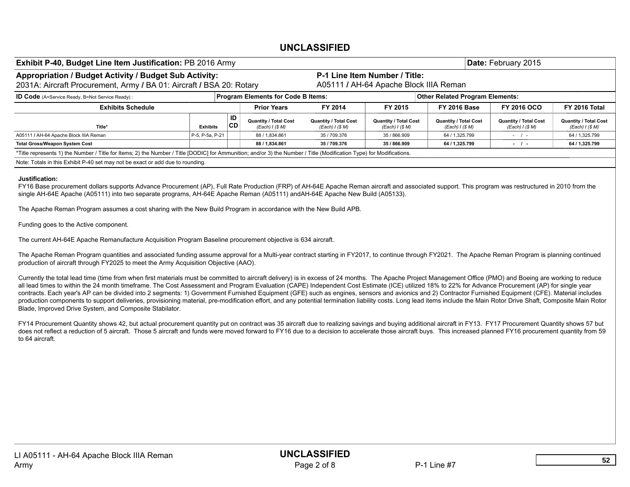| <b>Exhibit P-40, Budget Line Item Justification: PB 2016 Army</b>                                                                                                                                                                                                                                                                                                                                                                                                                                                                                                                                                                                                                                                                                                                                                                                                                                                |                 |          |                                                |                                                 |                                                |                                                | Date: February 2015                            |                                                        |
|------------------------------------------------------------------------------------------------------------------------------------------------------------------------------------------------------------------------------------------------------------------------------------------------------------------------------------------------------------------------------------------------------------------------------------------------------------------------------------------------------------------------------------------------------------------------------------------------------------------------------------------------------------------------------------------------------------------------------------------------------------------------------------------------------------------------------------------------------------------------------------------------------------------|-----------------|----------|------------------------------------------------|-------------------------------------------------|------------------------------------------------|------------------------------------------------|------------------------------------------------|--------------------------------------------------------|
| Appropriation / Budget Activity / Budget Sub Activity:                                                                                                                                                                                                                                                                                                                                                                                                                                                                                                                                                                                                                                                                                                                                                                                                                                                           |                 |          |                                                |                                                 | P-1 Line Item Number / Title:                  |                                                |                                                |                                                        |
| 2031A: Aircraft Procurement, Army / BA 01: Aircraft / BSA 20: Rotary                                                                                                                                                                                                                                                                                                                                                                                                                                                                                                                                                                                                                                                                                                                                                                                                                                             |                 |          |                                                |                                                 | A05111 / AH-64 Apache Block IIIA Reman         |                                                |                                                |                                                        |
| <b>ID Code</b> (A=Service Ready, B=Not Service Ready):                                                                                                                                                                                                                                                                                                                                                                                                                                                                                                                                                                                                                                                                                                                                                                                                                                                           |                 |          | <b>Program Elements for Code B Items:</b>      |                                                 |                                                | <b>Other Related Program Elements:</b>         |                                                |                                                        |
| <b>Exhibits Schedule</b>                                                                                                                                                                                                                                                                                                                                                                                                                                                                                                                                                                                                                                                                                                                                                                                                                                                                                         |                 |          | <b>Prior Years</b>                             | FY 2014                                         | FY 2015                                        | <b>FY 2016 Base</b>                            | <b>FY 2016 OCO</b>                             | <b>FY 2016 Total</b>                                   |
| Title*                                                                                                                                                                                                                                                                                                                                                                                                                                                                                                                                                                                                                                                                                                                                                                                                                                                                                                           | <b>Exhibits</b> | ID<br>CD | <b>Quantity / Total Cost</b><br>(Each) I (S M) | <b>Quantity / Total Cost</b><br>(Each) I (\$ M) | <b>Quantity / Total Cost</b><br>(Each) I (S M) | <b>Quantity / Total Cost</b><br>(Each) I (S M) | <b>Quantity / Total Cost</b><br>(Each) I (S M) | <b>Quantity / Total Cost</b><br>(Each) <i>I</i> (\$ M) |
| A05111 / AH-64 Apache Block IIIA Reman                                                                                                                                                                                                                                                                                                                                                                                                                                                                                                                                                                                                                                                                                                                                                                                                                                                                           | P-5, P-5a, P-21 |          | 88 / 1,834.861                                 | 35 / 709.376                                    | 35 / 866.909                                   | 64 / 1,325.799                                 | $ /$ $-$                                       | 64 / 1,325.799                                         |
| <b>Total Gross/Weapon System Cost</b>                                                                                                                                                                                                                                                                                                                                                                                                                                                                                                                                                                                                                                                                                                                                                                                                                                                                            |                 |          | 88 / 1,834.861                                 | 35 / 709.376                                    | 35 / 866.909                                   | 64 / 1,325.799                                 | $-1$                                           | 64 / 1,325.799                                         |
| *Title represents 1) the Number / Title for Items; 2) the Number / Title [DODIC] for Ammunition; and/or 3) the Number / Title (Modification Type) for Modifications.                                                                                                                                                                                                                                                                                                                                                                                                                                                                                                                                                                                                                                                                                                                                             |                 |          |                                                |                                                 |                                                |                                                |                                                |                                                        |
| Note: Totals in this Exhibit P-40 set may not be exact or add due to rounding.                                                                                                                                                                                                                                                                                                                                                                                                                                                                                                                                                                                                                                                                                                                                                                                                                                   |                 |          |                                                |                                                 |                                                |                                                |                                                |                                                        |
| The Apache Reman Program assumes a cost sharing with the New Build Program in accordance with the New Build APB.<br>Funding goes to the Active component.<br>The current AH-64E Apache Remanufacture Acquisition Program Baseline procurement objective is 634 aircraft.<br>The Apache Reman Program quantities and associated funding assume approval for a Multi-year contract starting in FY2017, to continue through FY2021. The Apache Reman Program is planning continued<br>production of aircraft through FY2025 to meet the Army Acquisition Objective (AAO).                                                                                                                                                                                                                                                                                                                                           |                 |          |                                                |                                                 |                                                |                                                |                                                |                                                        |
| Currently the total lead time (time from when first materials must be committed to aircraft delivery) is in excess of 24 months. The Apache Project Management Office (PMO) and Boeing are working to reduce<br>all lead times to within the 24 month timeframe. The Cost Assessment and Program Evaluation (CAPE) Independent Cost Estimate (ICE) utilized 18% to 22% for Advance Procurement (AP) for single year<br>contracts. Each year's AP can be divided into 2 segments: 1) Government Furnished Equipment (GFE) such as engines, sensors and avionics and 2) Contractor Furnished Equipment (CFE). Material includes<br>production components to support deliveries, provisioning material, pre-modification effort, and any potential termination liability costs. Long lead items include the Main Rotor Drive Shaft, Composite Main Rotor<br>Blade, Improved Drive System, and Composite Stabilator. |                 |          |                                                |                                                 |                                                |                                                |                                                |                                                        |
| FY14 Procurement Quantity shows 42, but actual procurement quantity put on contract was 35 aircraft due to realizing savings and buying additional aircraft in FY13. FY17 Procurement Quantity shows 57 but<br>does not reflect a reduction of 5 aircraft. Those 5 aircraft and funds were moved forward to FY16 due to a decision to accelerate those aircraft buys. This increased planned FY16 procurement quantity from 59<br>to 64 aircraft.                                                                                                                                                                                                                                                                                                                                                                                                                                                                |                 |          |                                                |                                                 |                                                |                                                |                                                |                                                        |
|                                                                                                                                                                                                                                                                                                                                                                                                                                                                                                                                                                                                                                                                                                                                                                                                                                                                                                                  |                 |          |                                                |                                                 |                                                |                                                |                                                |                                                        |

**52**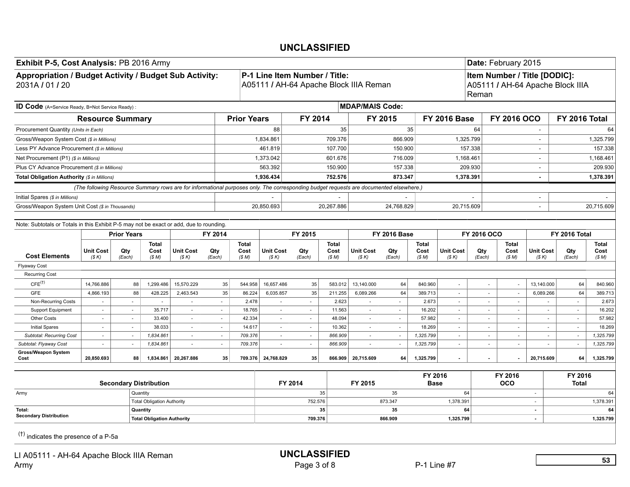| Appropriation / Budget Activity / Budget Sub Activity:                                  |                           |                                                      |                                   |                           |                          |                              |                           |                                                                                                                                        |                              |                           |                                      |                              |                           |                          | Date: February 2015                                  |                           |                                  |                              |
|-----------------------------------------------------------------------------------------|---------------------------|------------------------------------------------------|-----------------------------------|---------------------------|--------------------------|------------------------------|---------------------------|----------------------------------------------------------------------------------------------------------------------------------------|------------------------------|---------------------------|--------------------------------------|------------------------------|---------------------------|--------------------------|------------------------------------------------------|---------------------------|----------------------------------|------------------------------|
| 2031A / 01 / 20                                                                         |                           |                                                      |                                   |                           |                          |                              |                           | P-1 Line Item Number / Title:<br>A05111 / AH-64 Apache Block IIIA Reman                                                                |                              |                           |                                      |                              |                           | Reman                    | Item Number / Title [DODIC]:                         |                           | A05111 / AH-64 Apache Block IIIA |                              |
| <b>ID Code</b> (A=Service Ready, B=Not Service Ready) :                                 |                           |                                                      |                                   |                           |                          |                              |                           |                                                                                                                                        |                              | <b>MDAP/MAIS Code:</b>    |                                      |                              |                           |                          |                                                      |                           |                                  |                              |
|                                                                                         | <b>Resource Summary</b>   |                                                      |                                   |                           |                          | <b>Prior Years</b>           |                           | FY 2014                                                                                                                                |                              |                           | FY 2015                              |                              | <b>FY 2016 Base</b>       |                          | <b>FY 2016 OCO</b>                                   |                           | FY 2016 Total                    |                              |
| Procurement Quantity (Units in Each)                                                    |                           |                                                      |                                   |                           |                          |                              | 88                        |                                                                                                                                        | 35                           |                           |                                      | 35                           |                           | 64                       |                                                      | $\sim$                    |                                  | 64                           |
| Gross/Weapon System Cost (\$ in Millions)                                               |                           |                                                      |                                   |                           |                          |                              | 1.834.861                 |                                                                                                                                        | 709.376                      |                           | 866.909                              |                              | 1,325.799                 |                          |                                                      | $\sim$                    |                                  | 1.325.799                    |
| Less PY Advance Procurement (\$ in Millions)                                            |                           |                                                      |                                   |                           |                          |                              | 461.819                   |                                                                                                                                        | 107.700                      |                           | 150.900                              |                              | 157.338                   |                          |                                                      | $\sim$                    |                                  | 157.338                      |
| Net Procurement (P1) (\$ in Millions)                                                   |                           |                                                      |                                   |                           |                          |                              | 1,373.042                 |                                                                                                                                        | 601.676                      |                           | 716.009                              |                              | 1,168.461                 |                          |                                                      | $\overline{\phantom{a}}$  |                                  | 1,168.461                    |
| Plus CY Advance Procurement (\$ in Millions)                                            |                           |                                                      |                                   |                           |                          |                              | 563.392                   |                                                                                                                                        | 150.900                      |                           | 157.338                              |                              | 209.930                   |                          |                                                      | $\mathbf{r}$              |                                  | 209.930                      |
| Total Obligation Authority (\$ in Millions)                                             |                           |                                                      |                                   |                           |                          |                              | 1,936.434                 |                                                                                                                                        | 752.576                      |                           | 873.347                              |                              | 1,378.391                 |                          |                                                      | $\blacksquare$            |                                  | 1,378.391                    |
|                                                                                         |                           |                                                      |                                   |                           |                          |                              |                           | (The following Resource Summary rows are for informational purposes only. The corresponding budget requests are documented elsewhere.) |                              |                           |                                      |                              |                           |                          |                                                      |                           |                                  |                              |
| Initial Spares (\$ in Millions)                                                         |                           |                                                      |                                   |                           |                          |                              |                           |                                                                                                                                        |                              |                           |                                      |                              |                           | $\blacksquare$           |                                                      | $\sim$                    |                                  |                              |
| Gross/Weapon System Unit Cost (\$ in Thousands)                                         |                           |                                                      |                                   |                           |                          |                              | 20,850.693                |                                                                                                                                        | 20,267.886                   |                           | 24,768.829                           |                              | 20,715.609                |                          |                                                      | $\overline{\phantom{a}}$  |                                  | 20,715.609                   |
|                                                                                         |                           |                                                      |                                   |                           |                          |                              |                           |                                                                                                                                        |                              |                           |                                      |                              |                           |                          |                                                      |                           |                                  |                              |
| Note: Subtotals or Totals in this Exhibit P-5 may not be exact or add, due to rounding. |                           |                                                      |                                   |                           |                          |                              |                           |                                                                                                                                        |                              |                           |                                      |                              |                           |                          |                                                      |                           |                                  |                              |
|                                                                                         |                           | <b>Prior Years</b>                                   |                                   |                           | FY 2014                  |                              |                           | FY 2015                                                                                                                                |                              |                           | <b>FY 2016 Base</b>                  |                              |                           | FY 2016 OCO              |                                                      |                           | FY 2016 Total                    |                              |
| <b>Cost Elements</b>                                                                    | <b>Unit Cost</b><br>(S K) | Qty<br>(Each)                                        | <b>Total</b><br>Cost<br>(SM)      | <b>Unit Cost</b><br>(S K) | Qty<br>(Each)            | <b>Total</b><br>Cost<br>(SM) | <b>Unit Cost</b><br>(S K) | Qty<br>(Each)                                                                                                                          | <b>Total</b><br>Cost<br>(SM) | <b>Unit Cost</b><br>(S K) | Qty<br>(Each)                        | <b>Total</b><br>Cost<br>(SM) | <b>Unit Cost</b><br>(S K) | Qty<br>(Each)            | <b>Total</b><br>Cost<br>(SM)                         | <b>Unit Cost</b><br>(S K) | Qty<br>(Each)                    | <b>Total</b><br>Cost<br>(SM) |
| <b>Flyaway Cost</b>                                                                     |                           |                                                      |                                   |                           |                          |                              |                           |                                                                                                                                        |                              |                           |                                      |                              |                           |                          |                                                      |                           |                                  |                              |
| <b>Recurring Cost</b>                                                                   |                           |                                                      |                                   |                           |                          |                              |                           |                                                                                                                                        |                              |                           |                                      |                              |                           |                          |                                                      |                           |                                  |                              |
| CFE <sup>(†)</sup>                                                                      | 14.766.886                | 88                                                   | 1,299.486                         | 15,570.229                | 35                       | 544.958                      | 16.657.486                | 35                                                                                                                                     | 583.012                      | 13,140.000                | 64                                   | 840.960                      | $\sim$                    | $\overline{\phantom{a}}$ | $\overline{\phantom{a}}$                             | 13,140.000                | 64                               | 840.960                      |
| <b>GFE</b>                                                                              | 4,866.193                 | 88                                                   | 428.225                           | 2,463.543                 | 35                       | 86.224                       | 6,035.857                 | 35                                                                                                                                     | 211.255                      | 6,089.266                 | 64                                   | 389.713                      | $\sim$                    | ä,                       | $\sim$                                               | 6,089.266                 | 64                               | 389.713                      |
| Non-Recurring Costs                                                                     | $\sim$                    | ÷                                                    |                                   |                           | $\sim$                   | 2.478                        |                           | $\sim$                                                                                                                                 | 2.623                        | $\mathbf{r}$              | $\sim$                               | 2.673                        | $\sim$                    | $\sim$                   | $\sim$                                               |                           | ×.                               | 2.673                        |
| Support Equipment                                                                       | $\sim$                    | $\sim$                                               | 35.717                            | $\sim$                    | $\sim$                   | 18.765                       | $\sim$                    | $\sim$                                                                                                                                 | 11.563                       | $\sim$                    | $\sim$                               | 16.202                       | $\sim$                    | $\sim$                   | $\sim$                                               | $\sim$                    | $\sim$                           | 16.202                       |
| Other Costs                                                                             | $\sim$                    | $\sim$                                               | 33.400                            | $\sim$                    | $\sim$                   | 42.334                       | $\sim$                    | $\sim$                                                                                                                                 | 48.094                       | $\sim$                    | $\sim$                               | 57.982                       | $\sim$                    | $\overline{\phantom{a}}$ | $\sim$                                               | $\sim$                    | $\sim$                           | 57.982                       |
| <b>Initial Spares</b>                                                                   | $\sim$                    | $\sim$                                               | 38.033                            | $\sim$                    | $\sim$                   | 14.617                       | $\sim$                    | $\sim$                                                                                                                                 | 10.362                       | $\sim$                    | $\sim$                               | 18.269                       | $\sim$                    | $\sim$                   | $\sim$                                               | $\sim$                    | ×.                               | 18.269                       |
| <b>Subtotal: Recurring Cost</b><br>Subtotal: Flyaway Cost                               | $\sim$<br>÷               | $\overline{\phantom{a}}$<br>$\overline{\phantom{a}}$ | 1,834.861<br>1,834.861            | $\sim$<br>$\sim$          | $\blacksquare$<br>$\sim$ | 709.376<br>709.376           | $\sim$<br>$\sim$          | $\sim$<br>$\sim$                                                                                                                       | 866.909<br>866.909           | $\omega$<br>$\sim$        | $\overline{\phantom{a}}$<br>$\omega$ | 1,325.799<br>1,325.799       | $\blacksquare$<br>$\sim$  | $\blacksquare$<br>$\sim$ | $\overline{\phantom{a}}$<br>$\overline{\phantom{a}}$ | $\sim$<br>$\sim$          | $\blacksquare$<br>$\blacksquare$ | 1,325.799<br>1,325.799       |
| <b>Gross/Weapon System</b><br>Cost                                                      | 20,850.693                | 88                                                   | 1,834.861                         | 20,267.886                | 35                       | 709.376                      | 24,768.829                | 35                                                                                                                                     | 866.909                      | 20,715.609                | 64                                   | 1,325.799                    | $\blacksquare$            |                          |                                                      | 20,715.609                | 64                               | 1,325.799                    |
|                                                                                         |                           |                                                      | <b>Secondary Distribution</b>     |                           |                          |                              |                           | FY 2014                                                                                                                                |                              | FY 2015                   |                                      | FY 2016<br><b>Base</b>       |                           |                          | FY 2016<br>oco                                       |                           | FY 2016<br><b>Total</b>          |                              |
| Army                                                                                    |                           | Quantity                                             |                                   |                           |                          |                              |                           |                                                                                                                                        | 35                           |                           | 35                                   |                              | 64                        |                          |                                                      | $\overline{\phantom{a}}$  |                                  | 64                           |
|                                                                                         |                           |                                                      | <b>Total Obligation Authority</b> |                           |                          |                              |                           | 752.576                                                                                                                                |                              |                           | 873.347                              |                              | 1,378.391                 |                          |                                                      | $\overline{\phantom{a}}$  |                                  | 1,378.391                    |
| Total:<br><b>Secondary Distribution</b>                                                 |                           | Quantity                                             |                                   |                           |                          |                              |                           |                                                                                                                                        | 35                           |                           | 35                                   |                              | 64                        |                          |                                                      | $\blacksquare$            |                                  | 64                           |
|                                                                                         |                           |                                                      | <b>Total Obligation Authority</b> |                           |                          |                              |                           | 709.376                                                                                                                                |                              |                           | 866.909                              |                              | 1,325.799                 |                          |                                                      | $\sim$                    |                                  | 1,325.799                    |

LI A05111 - AH-64 Apache Block IIIA Reman **UNCLASSIFIED**<br>Army Page 3 of 8

**53**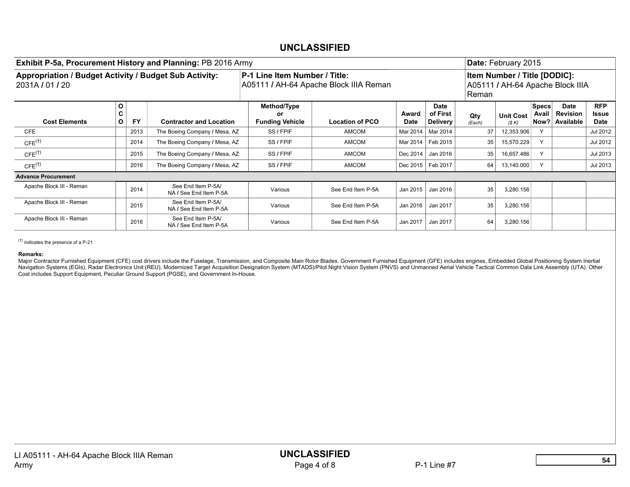| Exhibit P-5a, Procurement History and Planning: PB 2016 Army              |             |           |                                              |                                             |                                        |               |                                     |               | Date: February 2015                                              |                       |                                                  |                                    |
|---------------------------------------------------------------------------|-------------|-----------|----------------------------------------------|---------------------------------------------|----------------------------------------|---------------|-------------------------------------|---------------|------------------------------------------------------------------|-----------------------|--------------------------------------------------|------------------------------------|
| Appropriation / Budget Activity / Budget Sub Activity:<br>2031A / 01 / 20 |             |           |                                              | P-1 Line Item Number / Title:               | A05111 / AH-64 Apache Block IIIA Reman |               |                                     | Reman         | Item Number / Title [DODIC]:<br>A05111 / AH-64 Apache Block IIIA |                       |                                                  |                                    |
| <b>Cost Elements</b>                                                      | О<br>C<br>O | <b>FY</b> | <b>Contractor and Location</b>               | Method/Type<br>or<br><b>Funding Vehicle</b> | <b>Location of PCO</b>                 | Award<br>Date | Date<br>of First<br><b>Delivery</b> | Qty<br>(Each) | <b>Unit Cost</b><br>(S K)                                        | <b>Specs</b><br>Avail | <b>Date</b><br><b>Revision</b><br>Now? Available | <b>RFP</b><br><b>Issue</b><br>Date |
| <b>CFE</b>                                                                |             | 2013      | The Boeing Company / Mesa, AZ                | SS / FPIF                                   | AMCOM                                  | Mar 2014      | Mar 2014                            | 37            | 12,353.906                                                       | $\checkmark$          |                                                  | Jul 2012                           |
| $CFE^{(1)}$                                                               |             | 2014      | The Boeing Company / Mesa, AZ                | SS / FPIF                                   | AMCOM                                  | Mar 2014      | Feb 2015                            | 35            | 15,570.229                                                       | $\checkmark$          |                                                  | Jul 2012                           |
| $CFE^{(1)}$                                                               |             | 2015      | The Boeing Company / Mesa, AZ                | SS/FPIF                                     | AMCOM                                  | Dec 2014      | Jan 2016                            | 35            | 16,657.486                                                       | $\checkmark$          |                                                  | Jul 2013                           |
| $CFE^{(1)}$                                                               |             | 2016      | The Boeing Company / Mesa, AZ                | SS / FPIF                                   | <b>AMCOM</b>                           |               | Dec 2015   Feb 2017                 | 64            | 13,140.000                                                       | Y                     |                                                  | Jul 2013                           |
| <b>Advance Procurement</b>                                                |             |           |                                              |                                             |                                        |               |                                     |               |                                                                  |                       |                                                  |                                    |
| Apache Block III - Reman                                                  |             | 2014      | See End Item P-5A/<br>NA / See End Item P-5A | Various                                     | See End Item P-5A                      | Jan 2015      | Jan 2016                            | 35            | 3,280.156                                                        |                       |                                                  |                                    |
| Apache Block III - Reman                                                  |             | 2015      | See End Item P-5A/<br>NA / See End Item P-5A | Various                                     | See End Item P-5A                      | Jan 2016      | Jan 2017                            | 35            | 3,280.156                                                        |                       |                                                  |                                    |
| Apache Block III - Reman                                                  |             | 2016      | See End Item P-5A/<br>NA / See End Item P-5A | Various                                     | See End Item P-5A                      | Jan 2017      | Jan 2017                            | 64            | 3,280.156                                                        |                       |                                                  |                                    |

(†) indicates the presence of a P-21

#### Remarks:

Major Contractor Furnished Equipment (CFE) cost drivers include the Fuselage, Transmission, and Composite Main Rotor Blades. Government Furnished Equipment (GFE) includes engines, Embedded Global Positioning System Inertia Navigation Systems (EGIs), Radar Electronics Unit (REU), Modernized Target Acquisition Designation System (MTADS)/Pilot Night Vision System (PNVS) and Unmanned Aerial Vehicle Tactical Common Data Link Assembly (UTA). Other Cost includes Support Equipment, Peculiar Ground Support (PGSE), and Government In-House.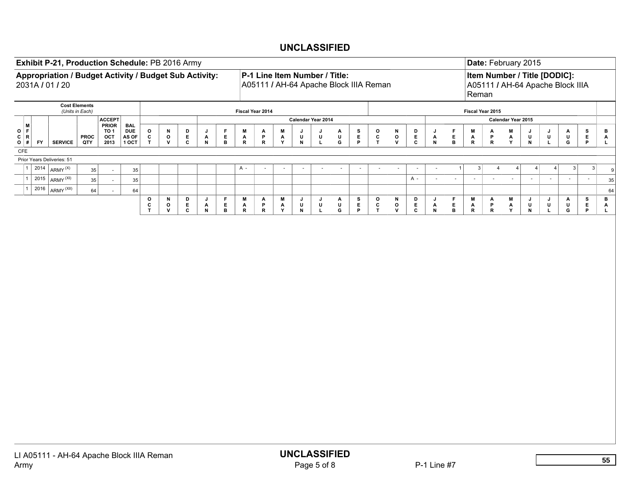|                   |           | Exhibit P-21, Production Schedule: PB 2016 Army                           |                                         |                                        |                            |                                      |                                   |                         |                                                |                         |                        |                    |                                         |                                         |                               |             |                                        |                                            |                         |                         |                                       |                         |                     |                                 | Date: February 2015                     |                |                                                |                                  |                                   |                              |
|-------------------|-----------|---------------------------------------------------------------------------|-----------------------------------------|----------------------------------------|----------------------------|--------------------------------------|-----------------------------------|-------------------------|------------------------------------------------|-------------------------|------------------------|--------------------|-----------------------------------------|-----------------------------------------|-------------------------------|-------------|----------------------------------------|--------------------------------------------|-------------------------|-------------------------|---------------------------------------|-------------------------|---------------------|---------------------------------|-----------------------------------------|----------------|------------------------------------------------|----------------------------------|-----------------------------------|------------------------------|
|                   |           | Appropriation / Budget Activity / Budget Sub Activity:<br>2031A / 01 / 20 |                                         |                                        |                            |                                      |                                   |                         |                                                |                         |                        |                    |                                         |                                         | P-1 Line Item Number / Title: |             | A05111 / AH-64 Apache Block IIIA Reman |                                            |                         |                         |                                       |                         | Reman               |                                 | Item Number / Title [DODIC]:            |                |                                                | A05111 / AH-64 Apache Block IIIA |                                   |                              |
|                   |           |                                                                           | <b>Cost Elements</b><br>(Units in Each) |                                        |                            |                                      |                                   |                         |                                                |                         |                        | Fiscal Year 2014   |                                         |                                         |                               |             |                                        |                                            |                         |                         |                                       |                         |                     | Fiscal Year 2015                |                                         |                |                                                |                                  |                                   |                              |
|                   |           |                                                                           |                                         | <b>ACCEPT</b>                          |                            |                                      |                                   |                         |                                                |                         |                        |                    |                                         |                                         | Calendar Year 2014            |             |                                        |                                            |                         |                         |                                       |                         |                     |                                 | Calendar Year 2015                      |                |                                                |                                  |                                   |                              |
| o F <br>C   R     | M         |                                                                           | <b>PROC</b>                             | <b>PRIOR</b><br>TO <sub>1</sub><br>OCT | <b>BAL</b><br>DUE<br>AS OF | $\mathbf{o}$<br>C                    | N<br>$\circ$                      | D<br>E.                 | J<br>$\mathop{\mathsf{A}}\limits_{\mathsf{N}}$ | F<br>Е.                 | M<br>$\frac{A}{R}$     | Α<br>$\mathsf P$   | M<br>$\overset{\mathsf{A}}{\mathsf{Y}}$ | J<br>U                                  | J<br>U                        | А<br>U      | s<br>$\mathsf E$                       | o<br>c                                     | N<br>$\mathbf{o}$       | D<br>$_{\rm c}^{\rm E}$ | J<br>Α                                | F<br>E.                 | M<br>$\mathsf{A}$ R | Α<br>P                          | M<br>$\frac{\mathsf{A}}{\mathsf{Y}}$    | J<br>U         | J<br>$_\mathrm{L}^\mathrm{U}$                  | А<br>U                           | s<br>E.                           | в<br>$\mathbf{A}$            |
| $O \mid #$<br>CFE | <b>FY</b> | <b>SERVICE</b>                                                            | QTY                                     | 2013                                   | 1 OCT                      | $\mathsf T$                          | $\mathsf{v}$                      | $\mathbf{c}$            |                                                | $\, {\bf B} \,$         |                        | $\mathbf R$        |                                         | $\,$ N                                  | $\mathbf L$                   | G           | $\mathsf P$                            | $\mathbf T$                                | $\mathsf{v}$            |                         | $\,$ N $\,$                           | $\, {\bf B} \,$         |                     | $\, {\bf R} \,$                 |                                         | N              |                                                | G                                | P                                 |                              |
|                   |           | Prior Years Deliveries: 51                                                |                                         |                                        |                            |                                      |                                   |                         |                                                |                         |                        |                    |                                         |                                         |                               |             |                                        |                                            |                         |                         |                                       |                         |                     |                                 |                                         |                |                                                |                                  |                                   |                              |
|                   | $\vert$ 1 | 2014 ARMY $(X)$                                                           | $35\,$                                  | $\sim$                                 | $35\,$                     |                                      |                                   |                         |                                                |                         | A -                    | $\sim$             | ÷.                                      | $\sim$                                  | $\sim$                        | ÷.          | $\sim$                                 | $\sim$                                     | $\sim$                  | $\sim$                  | $\sim$                                | $\mathbf{1}$            | $\mathbf{3}$        | $\overline{4}$                  | $\overline{4}$                          | $\overline{4}$ | $\overline{4}$                                 | $\mathbf{3}$                     | $\mathbf{3}$                      | 9                            |
|                   |           | 1 2015 $ARMY^{(XI)}$                                                      | $35\,$                                  | $\overline{\phantom{a}}$               | 35                         |                                      |                                   |                         |                                                |                         |                        |                    |                                         |                                         |                               |             |                                        |                                            |                         | $A -$                   | $\omega$                              | $\sim$                  | $\omega$            | ÷.                              | $\omega$                                | $\mathcal{L}$  | $\sim$                                         | $\omega$                         | $\sim$                            | 35                           |
|                   |           | 1 2016 $ARMY^{(XII)}$                                                     | 64                                      | $\overline{\phantom{a}}$               | 64                         |                                      |                                   |                         |                                                |                         |                        |                    |                                         |                                         |                               |             |                                        |                                            |                         |                         |                                       |                         |                     |                                 |                                         |                |                                                |                                  |                                   | 64                           |
|                   |           |                                                                           |                                         |                                        |                            | o<br>$\frac{\mathsf{c}}{\mathsf{T}}$ | N<br>$\mathsf{o}$<br>$\mathsf{v}$ | D<br>$_{\rm c}^{\rm E}$ | J<br>$\mathop{\mathsf{A}}\limits_{\mathsf{N}}$ | F<br>$_{\rm B}^{\rm E}$ | М<br>$\mathsf{A}$<br>R | А<br>$\frac{P}{R}$ | M<br>$\overset{\mathsf{A}}{\mathsf{Y}}$ | J<br>$\overset{\mathsf{U}}{\mathsf{N}}$ | J<br>$_\mathrm{L}^\mathrm{U}$ | Α<br>U<br>G | $\frac{S}{P}$                          | $\mathbf{o}$<br>$\mathbf c$<br>$\mathbf T$ | N<br>$_{\rm v}^{\rm o}$ | D<br>$_{\rm c}^{\rm E}$ | J<br>$\mathop{N}\limits^{\mathbf{A}}$ | F<br>$_{\rm B}^{\rm E}$ | M<br>$\mathsf{A}$ R | Α<br>$\mathsf P$<br>$\mathsf R$ | M<br>$\overset{\mathsf{A}}{\mathsf{Y}}$ | J<br>U<br>N    | J<br>$\mathop{\mathsf{L}}\limits^{\mathsf{U}}$ | Α<br>$\sf U$<br>G                | s<br>$_{\mathsf{P}}^{\mathsf{E}}$ | $\mathbf{B}$<br>$\mathbf{A}$ |
|                   |           |                                                                           |                                         |                                        |                            |                                      |                                   |                         |                                                |                         |                        |                    |                                         |                                         |                               |             |                                        |                                            |                         |                         |                                       |                         |                     |                                 |                                         |                |                                                |                                  |                                   |                              |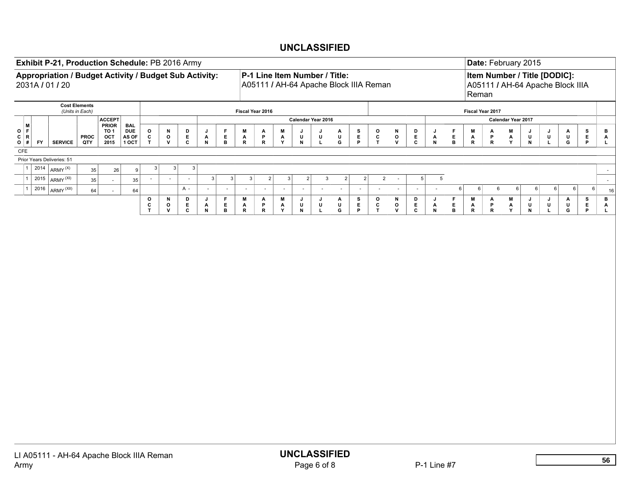|                                                           |                           | Exhibit P-21, Production Schedule: PB 2016 Army                           |                                         |                                |                              |                                   |                               |                                 |                                 |                          |                                          |                                     |                                          |                                            |                    |                               |                                        |                                  |                                   |                                            |                               |                         |                           |                  | Date: February 2015                                              |             |                       |             |              |                                         |
|-----------------------------------------------------------|---------------------------|---------------------------------------------------------------------------|-----------------------------------------|--------------------------------|------------------------------|-----------------------------------|-------------------------------|---------------------------------|---------------------------------|--------------------------|------------------------------------------|-------------------------------------|------------------------------------------|--------------------------------------------|--------------------|-------------------------------|----------------------------------------|----------------------------------|-----------------------------------|--------------------------------------------|-------------------------------|-------------------------|---------------------------|------------------|------------------------------------------------------------------|-------------|-----------------------|-------------|--------------|-----------------------------------------|
|                                                           |                           | Appropriation / Budget Activity / Budget Sub Activity:<br>2031A / 01 / 20 |                                         |                                |                              |                                   |                               |                                 |                                 |                          |                                          |                                     |                                          |                                            |                    | P-1 Line Item Number / Title: | A05111 / AH-64 Apache Block IIIA Reman |                                  |                                   |                                            |                               |                         | Reman                     |                  | Item Number / Title [DODIC]:<br>A05111 / AH-64 Apache Block IIIA |             |                       |             |              |                                         |
|                                                           |                           |                                                                           | <b>Cost Elements</b><br>(Units in Each) |                                |                              |                                   |                               |                                 |                                 |                          | Fiscal Year 2016                         |                                     |                                          |                                            |                    |                               |                                        |                                  |                                   |                                            |                               |                         |                           | Fiscal Year 2017 |                                                                  |             |                       |             |              |                                         |
|                                                           |                           |                                                                           |                                         | <b>ACCEPT</b><br><b>PRIOR</b>  | <b>BAL</b>                   |                                   |                               |                                 |                                 |                          |                                          |                                     |                                          | Calendar Year 2016                         |                    |                               |                                        |                                  |                                   |                                            |                               |                         |                           |                  | Calendar Year 2017                                               |             |                       |             |              |                                         |
| $\circ$ $\vert$ <sup>M</sup><br>C   R<br>$\overline{0}$ # | <b>FY</b>                 | <b>SERVICE</b>                                                            | <b>PROC</b><br>QTY                      | TO <sub>1</sub><br>OCT<br>2015 | <b>DUE</b><br>AS OF<br>1 OCT | $\mathsf{o}$<br>$\mathbf{c}$<br>T | N<br>$\circ$<br>${\mathsf v}$ | D<br>Е.<br>$\mathbf c$          | J<br>$\blacktriangle$<br>$\,$ N | E<br>$\, {\bf B} \,$     | M<br>A<br>${\sf R}$                      | Α<br>$\mathsf P$<br>$\, {\bf R} \,$ | M<br>Α<br>Y                              | J<br>U<br>$\,$ N                           | J<br>U<br>L.       | А<br>$\sf{U}$<br>G            | s<br>$\mathsf E$<br>$\mathsf P$        | $\mathsf{o}$<br>C<br>$\mathsf T$ | N<br>$\mathbf{o}$<br>$\mathsf{v}$ | $\mathsf{D}_{\mathsf{E}}$<br>$\mathbf{c}$  | J<br>Α<br>$\,$ N              | F<br>E.<br>$\, {\bf B}$ | M<br>A<br>$\, {\bf R} \,$ | А<br>P<br>R      | M<br>$\overset{\mathsf{A}}{\mathsf{Y}}$                          | J<br>U<br>N | J<br>U<br>$\mathbf L$ | Α<br>U<br>G | s<br>E.<br>P | в<br>$\mathop{\mathsf{L}}^{\mathsf{A}}$ |
| CFE                                                       |                           |                                                                           |                                         |                                |                              |                                   |                               |                                 |                                 |                          |                                          |                                     |                                          |                                            |                    |                               |                                        |                                  |                                   |                                            |                               |                         |                           |                  |                                                                  |             |                       |             |              |                                         |
|                                                           |                           | Prior Years Deliveries: 51                                                |                                         |                                |                              |                                   |                               |                                 |                                 |                          |                                          |                                     |                                          |                                            |                    |                               |                                        |                                  |                                   |                                            |                               |                         |                           |                  |                                                                  |             |                       |             |              |                                         |
|                                                           |                           | 2014 ARMY $(X)$                                                           | $35\,$                                  | 26                             | 9                            | $\mathbf{3}$                      | $\mathbf{3}$                  | $\mathsf 3$                     | 3                               | $\mathbf{3}$             |                                          |                                     |                                          |                                            |                    |                               |                                        |                                  |                                   |                                            |                               |                         |                           |                  |                                                                  |             |                       |             |              |                                         |
|                                                           | 2015<br>$\mathbf{1}$<br>1 | ARMY <sup>(XI)</sup><br>$ 2016 $ ARMY (XII)                               | 35                                      | $\sim$                         | 35                           | $\overline{\phantom{a}}$          | $\sim$                        | $\overline{\phantom{a}}$<br>A - | $\overline{\phantom{a}}$        | $\overline{\phantom{a}}$ | $\mathbf{3}$<br>$\overline{\phantom{a}}$ | $\overline{2}$<br>$\sim$            | $\mathbf{3}$<br>$\overline{\phantom{a}}$ | $\overline{2}$<br>$\overline{\phantom{a}}$ | $\blacksquare$     | 3 <sup>1</sup><br>$\sim$      | 2<br>$\overline{2}$<br>$\sim$          | $\overline{\phantom{a}}$         | 2<br>$\sim$<br>$\sim$             | 5 <sub>5</sub><br>$\overline{\phantom{a}}$ | $\,$ 5 $\,$                   | 6                       | $6\phantom{.}6$           | $\,6\,$          | 6                                                                | 6           | 6 <sup>1</sup>        | $\,6$       | 6            | $\sim$                                  |
|                                                           |                           |                                                                           | 64                                      | $\sim$                         | 64                           | o                                 | N                             | D                               | J                               | F                        | M                                        | Α                                   | M                                        | J                                          | J                  | А                             | s                                      | o                                | N                                 | D                                          | $\overline{\phantom{a}}$<br>J | F                       | M                         | Α                | M                                                                | J           | J                     | Α           | s            | 16<br>в                                 |
|                                                           |                           |                                                                           |                                         |                                |                              | $\frac{\mathsf{c}}{\mathsf{T}}$   | $\mathbf{o}$<br>v             | Е.<br>c                         | A<br>N                          | $_{\rm B}^{\rm E}$       | А<br>R                                   | $\mathsf P$<br>$\mathbf R$          | Α<br>Y                                   | U<br>N                                     | $\mathsf{U}$<br>L. | $\sf U$<br>G                  | $_{\mathsf{P}}^{\mathsf{E}}$           | $\mathbf c$<br>T.                | $\mathbf{o}$<br>v                 | $_{\rm c}^{\rm E}$                         | А<br>N                        | $_{\rm B}^{\rm E}$      | $\mathsf{A}$<br>R         | P<br>$\mathsf R$ | $\frac{\mathsf{A}}{\mathsf{Y}}$                                  | U<br>N      | $\sf{U}$<br>L         | U<br>G      | E<br>P       | $\mathop{\mathsf{L}}\limits$            |
|                                                           |                           |                                                                           |                                         |                                |                              |                                   |                               |                                 |                                 |                          |                                          |                                     |                                          |                                            |                    |                               |                                        |                                  |                                   |                                            |                               |                         |                           |                  |                                                                  |             |                       |             |              |                                         |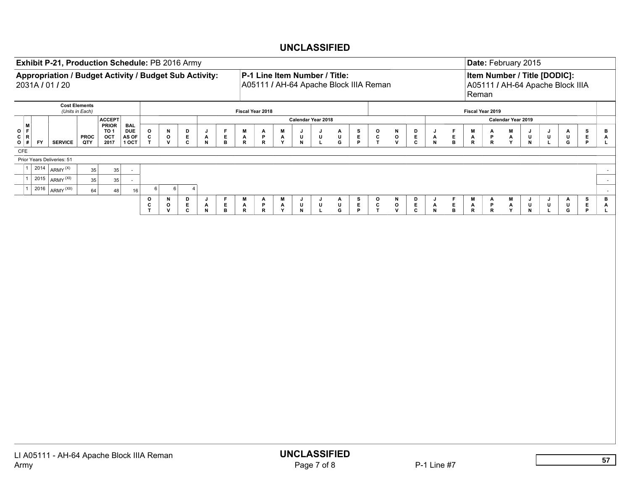|                              |                      | Exhibit P-21, Production Schedule: PB 2016 Army                           |                                         |                                |                              |                                   |                        |                     |                     |                             |                        |                                        |             |                   |                       |                    |                                        |                                            |                                    |              |                  |                       |                       |                                          | Date: February 2015                                              |                     |                       |                   |                                                |                                           |
|------------------------------|----------------------|---------------------------------------------------------------------------|-----------------------------------------|--------------------------------|------------------------------|-----------------------------------|------------------------|---------------------|---------------------|-----------------------------|------------------------|----------------------------------------|-------------|-------------------|-----------------------|--------------------|----------------------------------------|--------------------------------------------|------------------------------------|--------------|------------------|-----------------------|-----------------------|------------------------------------------|------------------------------------------------------------------|---------------------|-----------------------|-------------------|------------------------------------------------|-------------------------------------------|
|                              |                      | Appropriation / Budget Activity / Budget Sub Activity:<br>2031A / 01 / 20 |                                         |                                |                              |                                   |                        |                     |                     |                             |                        | P-1 Line Item Number / Title:          |             |                   |                       |                    | A05111 / AH-64 Apache Block IIIA Reman |                                            |                                    |              |                  |                       | Reman                 |                                          | Item Number / Title [DODIC]:<br>A05111 / AH-64 Apache Block IIIA |                     |                       |                   |                                                |                                           |
|                              |                      |                                                                           | <b>Cost Elements</b><br>(Units in Each) |                                |                              |                                   |                        |                     |                     |                             |                        | Fiscal Year 2018                       |             |                   |                       |                    |                                        |                                            |                                    |              |                  |                       |                       | Fiscal Year 2019                         |                                                                  |                     |                       |                   |                                                |                                           |
|                              | M                    |                                                                           |                                         | <b>ACCEPT</b><br><b>PRIOR</b>  | <b>BAL</b>                   |                                   |                        |                     |                     |                             |                        |                                        |             |                   | Calendar Year 2018    |                    |                                        |                                            |                                    |              |                  |                       |                       |                                          | Calendar Year 2019                                               |                     |                       |                   |                                                |                                           |
| O  F <br>C   R<br>$O \mid #$ | <b>FY</b>            | <b>SERVICE</b>                                                            | <b>PROC</b><br>QTY                      | TO <sub>1</sub><br>OCT<br>2017 | <b>DUE</b><br>AS OF<br>1 OCT | $\mathbf{o}$<br>c<br>$\mathbf{T}$ | N<br>$\mathbf{o}$<br>v | D<br>E.<br>c        | J<br>A<br>${\sf N}$ | F.<br>Е.<br>$\, {\bf B} \,$ | M<br>A<br>$\mathbf R$  | Α<br>P<br>$\mathbf R$                  | M<br>Α<br>Y | J<br>U<br>$\,$ N  | J<br>U<br>$\mathbf L$ | Α<br>U<br>G        | s<br>E<br>P                            | $\mathsf{o}$<br>c<br>$\mathbf{T}$          | N<br>$\mathbf{o}$<br>${\mathsf v}$ | D<br>E.<br>c | J<br>A<br>$\,$ N | F.<br>E.<br>в         | M<br>A<br>$\mathbf R$ | А<br>P<br>R                              | M<br>А<br>Y                                                      | J<br>U<br>${\sf N}$ | J<br>U<br>L.          | $\mathbf{a}$<br>G | s<br>E.<br>P                                   | в<br>$\mathbf{A}$<br>$\mathbf{L}_{\perp}$ |
| CFE                          |                      |                                                                           |                                         |                                |                              |                                   |                        |                     |                     |                             |                        |                                        |             |                   |                       |                    |                                        |                                            |                                    |              |                  |                       |                       |                                          |                                                                  |                     |                       |                   |                                                |                                           |
|                              |                      | Prior Years Deliveries: 51                                                |                                         |                                |                              |                                   |                        |                     |                     |                             |                        |                                        |             |                   |                       |                    |                                        |                                            |                                    |              |                  |                       |                       |                                          |                                                                  |                     |                       |                   |                                                |                                           |
|                              | 2014                 | $ARMY^{(X)}$                                                              | 35                                      | $35\,$                         | $\overline{\phantom{a}}$     |                                   |                        |                     |                     |                             |                        |                                        |             |                   |                       |                    |                                        |                                            |                                    |              |                  |                       |                       |                                          |                                                                  |                     |                       |                   |                                                | $\sim$                                    |
|                              | 2015<br>$\mathbf{1}$ | ARMY <sup>(XI)</sup>                                                      | $35\,$                                  | 35                             | $\mathcal{L}_{\mathcal{A}}$  |                                   |                        |                     |                     |                             |                        |                                        |             |                   |                       |                    |                                        |                                            |                                    |              |                  |                       |                       |                                          |                                                                  |                     |                       |                   |                                                | $\sim$                                    |
|                              | 2016<br>$\mathbf{1}$ | ARMY <sup>(XII)</sup>                                                     | 64                                      | 48                             | 16                           | 6<br>$\mathbf{o}$                 | 6<br>N                 | $\overline{4}$<br>D |                     | F                           |                        |                                        | M           |                   |                       |                    |                                        |                                            |                                    |              |                  |                       |                       |                                          |                                                                  |                     |                       |                   |                                                | $\sim$<br>B                               |
|                              |                      |                                                                           |                                         |                                |                              | $\mathbf c$<br>$\mathsf T$        | o<br>v                 | $\mathsf E$<br>c    | J<br>A<br>${\sf N}$ | $\mathsf E$<br>в            | M<br>A<br>$\mathsf{R}$ | $\mathsf{A}_{\mathsf{P}}$<br>${\sf R}$ | Α<br>Y      | J<br>$\sf U$<br>N | J<br>$\sf U$<br>L     | $\frac{A}{U}$<br>G | $\frac{\mathsf{s}}{\mathsf{E}}$<br>P   | $\mathbf{o}$<br>$\mathbf c$<br>$\mathsf T$ | N<br>$\mathbf{o}$<br>$\mathsf{v}$  | D<br>E<br>c  | J<br>A<br>$\,$ N | Е<br>$\mathsf E$<br>в | M<br>A<br>$\mathbf R$ | $\mathsf{A}_{\mathsf{P}}$<br>$\mathbf R$ | M<br>A<br>Y                                                      | J<br>U<br>${\sf N}$ | J<br>U<br>$\mathsf L$ | A<br>U<br>G       | $\frac{\mathsf{s}}{\mathsf{E}}$<br>$\mathsf P$ | $\mathbf{A}$<br>$\mathbf{L}$ .            |
|                              |                      |                                                                           |                                         |                                |                              |                                   |                        |                     |                     |                             |                        |                                        |             |                   |                       |                    |                                        |                                            |                                    |              |                  |                       |                       |                                          |                                                                  |                     |                       |                   |                                                |                                           |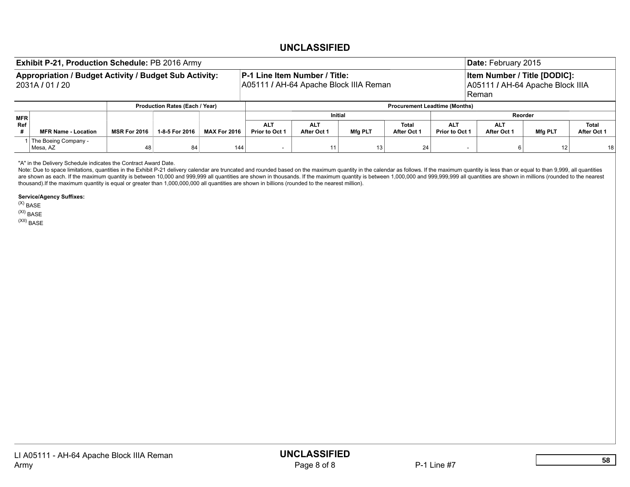|            | <b>Exhibit P-21, Production Schedule: PB 2016 Army</b>                    |                     |                                       |                     |                                                                         |                           |                 |                                      |                              | Date: February 2015                                                              |                 |                      |
|------------|---------------------------------------------------------------------------|---------------------|---------------------------------------|---------------------|-------------------------------------------------------------------------|---------------------------|-----------------|--------------------------------------|------------------------------|----------------------------------------------------------------------------------|-----------------|----------------------|
|            | Appropriation / Budget Activity / Budget Sub Activity:<br>2031A / 01 / 20 |                     |                                       |                     | P-1 Line Item Number / Title:<br>A05111 / AH-64 Apache Block IIIA Reman |                           |                 |                                      |                              | <b>Item Number / Title [DODIC]:</b><br>A05111 / AH-64 Apache Block IIIA<br>Reman |                 |                      |
|            |                                                                           |                     | <b>Production Rates (Each / Year)</b> |                     |                                                                         |                           |                 | <b>Procurement Leadtime (Months)</b> |                              |                                                                                  |                 |                      |
| <b>MFR</b> |                                                                           |                     |                                       |                     |                                                                         | <b>Initial</b>            |                 |                                      |                              | Reorder                                                                          |                 |                      |
| Ref        | <b>MFR Name - Location</b>                                                | <b>MSR For 2016</b> | 1-8-5 For 2016                        | <b>MAX For 2016</b> | <b>ALT</b><br>Prior to Oct 1                                            | <b>ALT</b><br>After Oct 1 | <b>Mfg PLT</b>  | Total<br><b>After Oct 1</b>          | <b>ALT</b><br>Prior to Oct 1 | <b>ALT</b><br>After Oct 1                                                        | <b>Mfg PLT</b>  | Total<br>After Oct 1 |
|            | The Boeing Company -<br>Mesa, AZ                                          | 48                  | 84                                    | 144.                |                                                                         |                           | 13 <sub>1</sub> | 24                                   |                              |                                                                                  | 12 <sup>2</sup> | 18                   |

"A" in the Delivery Schedule indicates the Contract Award Date.

Note: Due to space limitations, quantities in the Exhibit P-21 delivery calendar are truncated and rounded based on the maximum quantity in the calendar as follows. If the maximum quantity is less than or equal to than 9,9 are shown as each. If the maximum quantity is between 10,000 and 999,999 all quantities are shown in thousands. If the maximum quantity is between 1,000,000 and 999,999,999 all quantities are shown in millions (rounded to thousand).If the maximum quantity is equal or greater than 1,000,000,000 all quantities are shown in billions (rounded to the nearest million).

Service/Agency Suffixes:

 $(X)$  BASE

(XI) BASE

(XII) BASE

LI A05111 - AH-64 Apache Block IIIA Reman<br>Army Page 8 of 8 Army Page 8 of 8 P-1 Line #7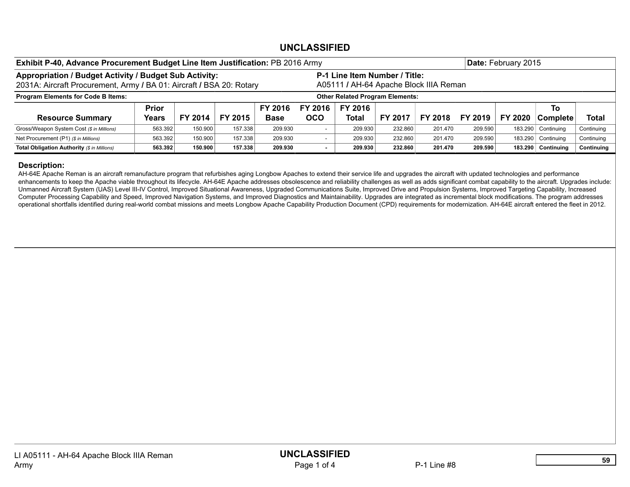| Exhibit P-40, Advance Procurement Budget Line Item Justification: PB 2016 Army |         |         |         |             |            |                                        |                |         |         | Date: February 2015 |                    |            |  |  |
|--------------------------------------------------------------------------------|---------|---------|---------|-------------|------------|----------------------------------------|----------------|---------|---------|---------------------|--------------------|------------|--|--|
| Appropriation / Budget Activity / Budget Sub Activity:                         |         |         |         |             |            | P-1 Line Item Number / Title:          |                |         |         |                     |                    |            |  |  |
| 2031A: Aircraft Procurement, Army / BA 01: Aircraft / BSA 20: Rotary           |         |         |         |             |            | A05111 / AH-64 Apache Block IIIA Reman |                |         |         |                     |                    |            |  |  |
| <b>Program Elements for Code B Items:</b><br>Other Related Program Elements:   |         |         |         |             |            |                                        |                |         |         |                     |                    |            |  |  |
| FY 2016<br><b>Prior</b><br>FY 2016<br>FY 2016<br>To                            |         |         |         |             |            |                                        |                |         |         |                     |                    |            |  |  |
| <b>Resource Summary</b>                                                        | Years   | FY 2014 | FY 2015 | <b>Base</b> | <b>OCO</b> | Total                                  | <b>FY 2017</b> | FY 2018 | FY 2019 | FY 2020             | <b>Complete</b>    | Total      |  |  |
| Gross/Weapon System Cost (\$ in Millions)                                      | 563.392 | 150.900 | 157.338 | 209.930     |            | 209.930                                | 232.860        | 201.470 | 209.590 |                     | 183.290 Continuing | Continuing |  |  |
| Net Procurement (P1) (\$ in Millions)                                          | 563.392 | 150,900 | 157.338 | 209.930     |            | 209.930                                | 232.860        | 201.470 | 209.590 |                     | 183.290 Continuing | Continuing |  |  |
| <b>Total Obligation Authority (\$ in Millions)</b>                             | 563.392 | 150,900 | 157.338 | 209.930     |            | 209.930                                | 232.860        | 201.470 | 209.590 |                     | 183.290 Continuing | Continuing |  |  |

#### Description:

AH-64E Apache Reman is an aircraft remanufacture program that refurbishes aging Longbow Apaches to extend their service life and upgrades the aircraft with updated technologies and performance enhancements to keep the Apache viable throughout its lifecycle. AH-64E Apache addresses obsolescence and reliability challenges as well as adds significant combat capability to the aircraft. Upgrades include: Unmanned Aircraft System (UAS) Level III-IV Control, Improved Situational Awareness, Upgraded Communications Suite, Improved Drive and Propulsion Systems, Improved Targeting Capability, Increased Computer Processing Capability and Speed, Improved Navigation Systems, and Improved Diagnostics and Maintainability. Upgrades are integrated as incremental block modifications. The program addresses operational shortfalls identified during real-world combat missions and meets Longbow Apache Capability Production Document (CPD) requirements for modernization. AH-64E aircraft entered the fleet in 2012.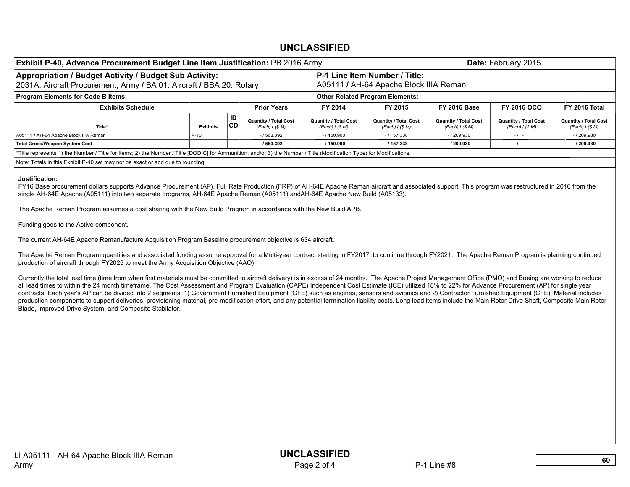| Exhibit P-40, Advance Procurement Budget Line Item Justification: PB 2016 Army                                                                                       |                 |          |                                                 |                                                 |                                                                         |                                                 | Date: February 2015                             |                                                 |
|----------------------------------------------------------------------------------------------------------------------------------------------------------------------|-----------------|----------|-------------------------------------------------|-------------------------------------------------|-------------------------------------------------------------------------|-------------------------------------------------|-------------------------------------------------|-------------------------------------------------|
| Appropriation / Budget Activity / Budget Sub Activity:<br>2031A: Aircraft Procurement, Army / BA 01: Aircraft / BSA 20: Rotary                                       |                 |          |                                                 |                                                 | P-1 Line Item Number / Title:<br>A05111 / AH-64 Apache Block IIIA Reman |                                                 |                                                 |                                                 |
| Program Elements for Code B Items:                                                                                                                                   |                 |          |                                                 |                                                 | <b>Other Related Program Elements:</b>                                  |                                                 |                                                 |                                                 |
| <b>Exhibits Schedule</b>                                                                                                                                             |                 |          | <b>Prior Years</b>                              | FY 2014                                         | FY 2015                                                                 | <b>FY 2016 Base</b>                             | <b>FY 2016 OCO</b>                              | <b>FY 2016 Total</b>                            |
| Title*                                                                                                                                                               | <b>Exhibits</b> | ID<br>CD | <b>Quantity / Total Cost</b><br>(Each) I (\$ M) | <b>Quantity / Total Cost</b><br>(Each) I (\$ M) | <b>Quantity / Total Cost</b><br>(Each) I (\$ M)                         | <b>Quantity / Total Cost</b><br>(Each) I (\$ M) | <b>Quantity / Total Cost</b><br>(Each) I (\$ M) | <b>Quantity / Total Cost</b><br>(Each) I (\$ M) |
| A05111 / AH-64 Apache Block IIIA Reman                                                                                                                               | $P-10$          |          | $-1563.392$                                     | $-1150.900$                                     | $-1157.338$                                                             | $-1209.930$                                     | $-1 -$                                          | $-1209.930$                                     |
| <b>Total Gross/Weapon System Cost</b>                                                                                                                                |                 |          | /563.392                                        | $-1150.900$                                     | / 157.338                                                               | /209.930                                        | $-I$                                            | $-1209.930$                                     |
| *Title represents 1) the Number / Title for Items; 2) the Number / Title [DODIC] for Ammunition; and/or 3) the Number / Title (Modification Type) for Modifications. |                 |          |                                                 |                                                 |                                                                         |                                                 |                                                 |                                                 |
| Note: Totals in this Exhibit P-40 set may not be exact or add due to rounding.                                                                                       |                 |          |                                                 |                                                 |                                                                         |                                                 |                                                 |                                                 |
|                                                                                                                                                                      |                 |          |                                                 |                                                 |                                                                         |                                                 |                                                 |                                                 |

#### Justification:

FY16 Base procurement dollars supports Advance Procurement (AP), Full Rate Production (FRP) of AH-64E Apache Reman aircraft and associated support. This program was restructured in 2010 from the single AH-64E Apache (A05111) into two separate programs, AH-64E Apache Reman (A05111) andAH-64E Apache New Build (A05133).

The Apache Reman Program assumes a cost sharing with the New Build Program in accordance with the New Build APB.

Funding goes to the Active component.

The current AH-64E Apache Remanufacture Acquisition Program Baseline procurement objective is 634 aircraft.

The Apache Reman Program quantities and associated funding assume approval for a Multi-year contract starting in FY2017, to continue through FY2021. The Apache Reman Program is planning continued production of aircraft through FY2025 to meet the Army Acquisition Objective (AAO).

Currently the total lead time (time from when first materials must be committed to aircraft delivery) is in excess of 24 months. The Apache Project Management Office (PMO) and Boeing are working to reduce all lead times to within the 24 month timeframe. The Cost Assessment and Program Evaluation (CAPE) Independent Cost Estimate (ICE) utilized 18% to 22% for Advance Procurement (AP) for single year contracts. Each year's AP can be divided into 2 segments: 1) Government Furnished Equipment (GFE) such as engines, sensors and avionics and 2) Contractor Furnished Equipment (CFE). Material includes production components to support deliveries, provisioning material, pre-modification effort, and any potential termination liability costs. Long lead items include the Main Rotor Drive Shaft, Composite Main Rotor Blade, Improved Drive System, and Composite Stabilator.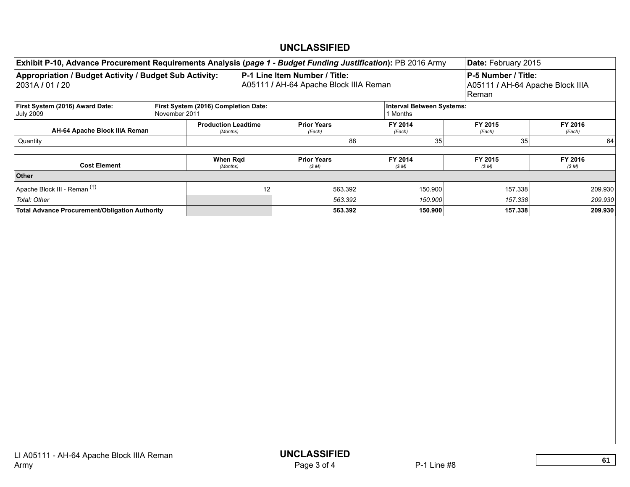| Exhibit P-10, Advance Procurement Requirements Analysis (page 1 - Budget Funding Justification): PB 2016 Army |               |                                        |    |                                                                         |                                            | Date: February 2015                                              |                   |
|---------------------------------------------------------------------------------------------------------------|---------------|----------------------------------------|----|-------------------------------------------------------------------------|--------------------------------------------|------------------------------------------------------------------|-------------------|
| Appropriation / Budget Activity / Budget Sub Activity:<br>2031A / 01 / 20                                     |               |                                        |    | P-1 Line Item Number / Title:<br>A05111 / AH-64 Apache Block IIIA Reman |                                            | P-5 Number / Title:<br>A05111 / AH-64 Apache Block IIIA<br>Reman |                   |
| First System (2016) Award Date:<br><b>July 2009</b>                                                           | November 2011 | First System (2016) Completion Date:   |    |                                                                         | <b>Interval Between Systems:</b><br>Months |                                                                  |                   |
| AH-64 Apache Block IIIA Reman                                                                                 |               | <b>Production Leadtime</b><br>(Months) |    | <b>Prior Years</b><br>(Each)                                            | FY 2014<br>(Each)                          | FY 2015<br>(Each)                                                | FY 2016<br>(Each) |
| Quantity                                                                                                      |               |                                        |    | 88                                                                      | 35                                         | 35                                                               | 64                |
| <b>Cost Element</b>                                                                                           |               | When Rgd<br>(Months)                   |    | <b>Prior Years</b><br>(SM)                                              | FY 2014<br>(SM)                            | FY 2015<br>(SM)                                                  | FY 2016<br>(SM)   |
| <b>Other</b>                                                                                                  |               |                                        |    |                                                                         |                                            |                                                                  |                   |
| Apache Block III - Reman (†)                                                                                  |               |                                        | 12 | 563.392                                                                 | 150.900                                    | 157.338                                                          | 209.930           |
| Total: Other                                                                                                  |               |                                        |    | 563.392                                                                 | 150.900                                    | 157.338                                                          | 209.930           |
| <b>Total Advance Procurement/Obligation Authority</b>                                                         |               |                                        |    | 563.392                                                                 | 150.900                                    | 157.338                                                          | 209.930           |